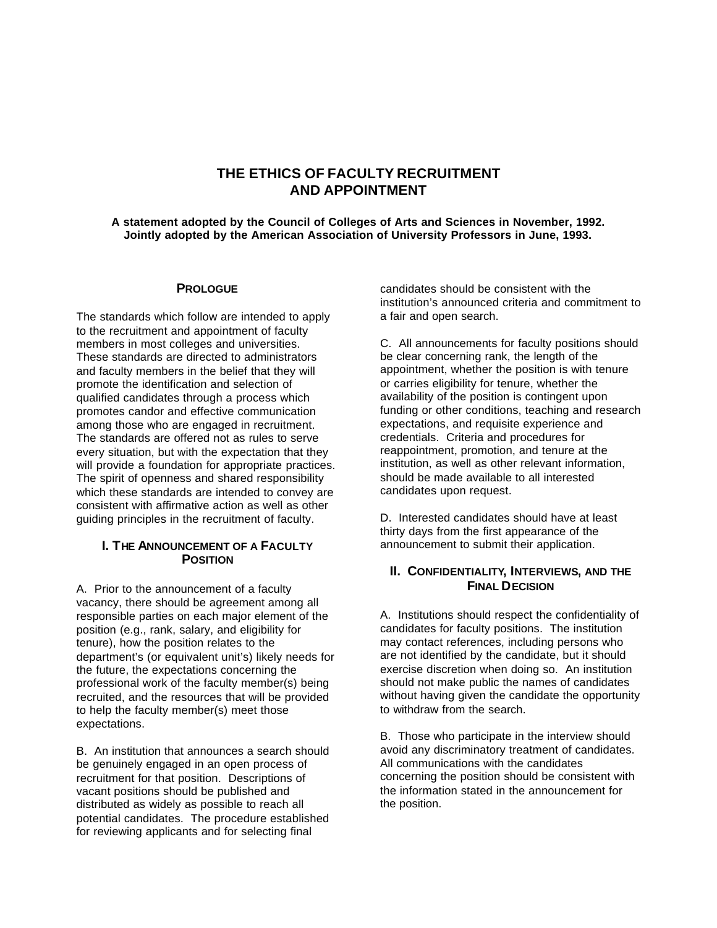# **THE ETHICS OF FACULTY RECRUITMENT AND APPOINTMENT**

**A statement adopted by the Council of Colleges of Arts and Sciences in November, 1992. Jointly adopted by the American Association of University Professors in June, 1993.**

### **PROLOGUE**

The standards which follow are intended to apply to the recruitment and appointment of faculty members in most colleges and universities. These standards are directed to administrators and faculty members in the belief that they will promote the identification and selection of qualified candidates through a process which promotes candor and effective communication among those who are engaged in recruitment. The standards are offered not as rules to serve every situation, but with the expectation that they will provide a foundation for appropriate practices. The spirit of openness and shared responsibility which these standards are intended to convey are consistent with affirmative action as well as other guiding principles in the recruitment of faculty.

### **I. THE ANNOUNCEMENT OF A FACULTY POSITION**

A. Prior to the announcement of a faculty vacancy, there should be agreement among all responsible parties on each major element of the position (e.g., rank, salary, and eligibility for tenure), how the position relates to the department's (or equivalent unit's) likely needs for the future, the expectations concerning the professional work of the faculty member(s) being recruited, and the resources that will be provided to help the faculty member(s) meet those expectations.

B. An institution that announces a search should be genuinely engaged in an open process of recruitment for that position. Descriptions of vacant positions should be published and distributed as widely as possible to reach all potential candidates. The procedure established for reviewing applicants and for selecting final

candidates should be consistent with the institution's announced criteria and commitment to a fair and open search.

C. All announcements for faculty positions should be clear concerning rank, the length of the appointment, whether the position is with tenure or carries eligibility for tenure, whether the availability of the position is contingent upon funding or other conditions, teaching and research expectations, and requisite experience and credentials. Criteria and procedures for reappointment, promotion, and tenure at the institution, as well as other relevant information, should be made available to all interested candidates upon request.

D. Interested candidates should have at least thirty days from the first appearance of the announcement to submit their application.

## **II. CONFIDENTIALITY, INTERVIEWS, AND THE FINAL DECISION**

A. Institutions should respect the confidentiality of candidates for faculty positions. The institution may contact references, including persons who are not identified by the candidate, but it should exercise discretion when doing so. An institution should not make public the names of candidates without having given the candidate the opportunity to withdraw from the search.

B. Those who participate in the interview should avoid any discriminatory treatment of candidates. All communications with the candidates concerning the position should be consistent with the information stated in the announcement for the position.